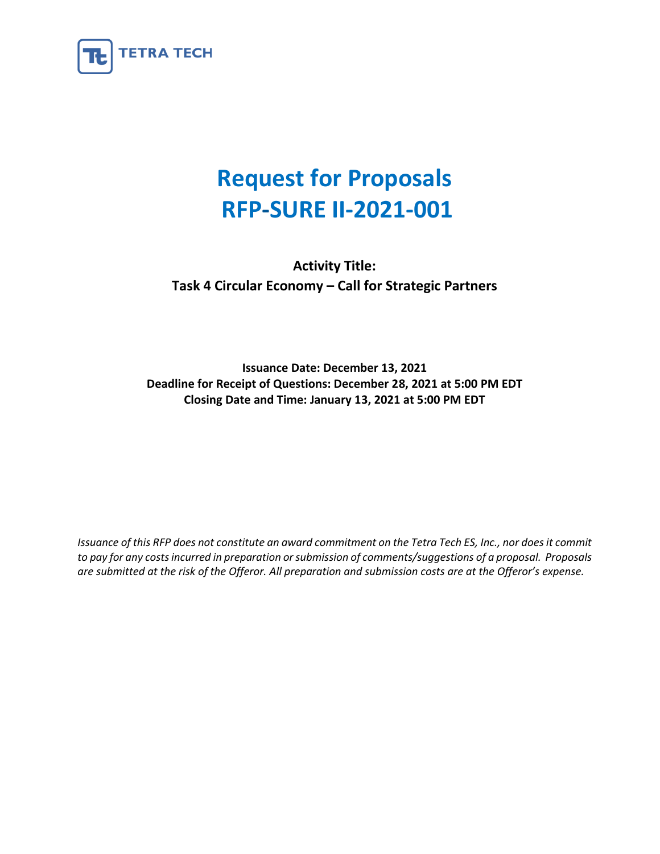

# **Request for Proposals RFP-SURE II-2021-001**

**Activity Title: Task 4 Circular Economy – Call for Strategic Partners**

**Issuance Date: December 13, 2021 Deadline for Receipt of Questions: December 28, 2021 at 5:00 PM EDT Closing Date and Time: January 13, 2021 at 5:00 PM EDT** 

*Issuance of this RFP does not constitute an award commitment on the Tetra Tech ES, Inc., nor does it commit to pay for any costs incurred in preparation or submission of comments/suggestions of a proposal. Proposals are submitted at the risk of the Offeror. All preparation and submission costs are at the Offeror's expense.*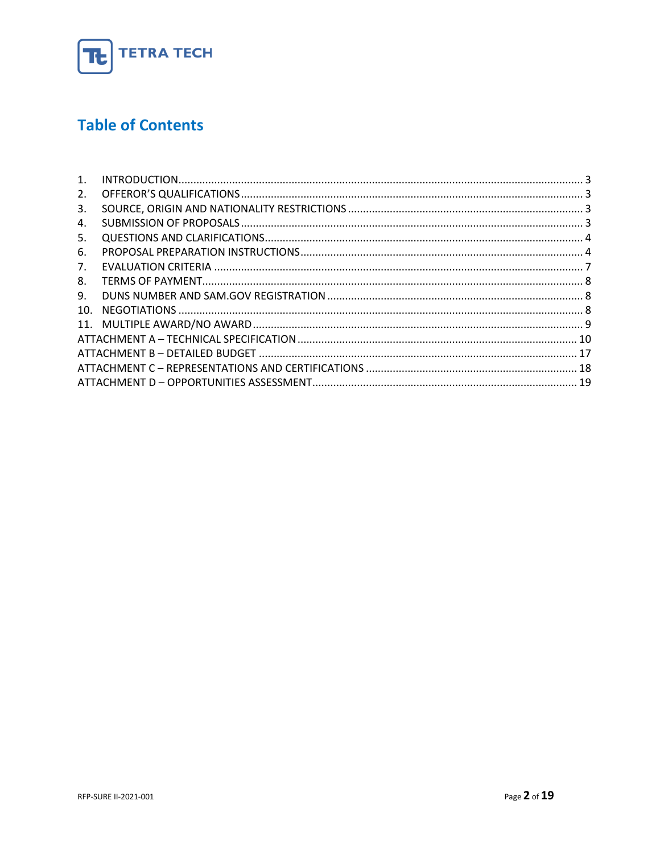

## **Table of Contents**

| 1.  |  |
|-----|--|
| 2.  |  |
| 3.  |  |
| 4.  |  |
| 5.  |  |
| 6.  |  |
| 7.  |  |
| 8.  |  |
| 9.  |  |
| 10. |  |
|     |  |
|     |  |
|     |  |
|     |  |
|     |  |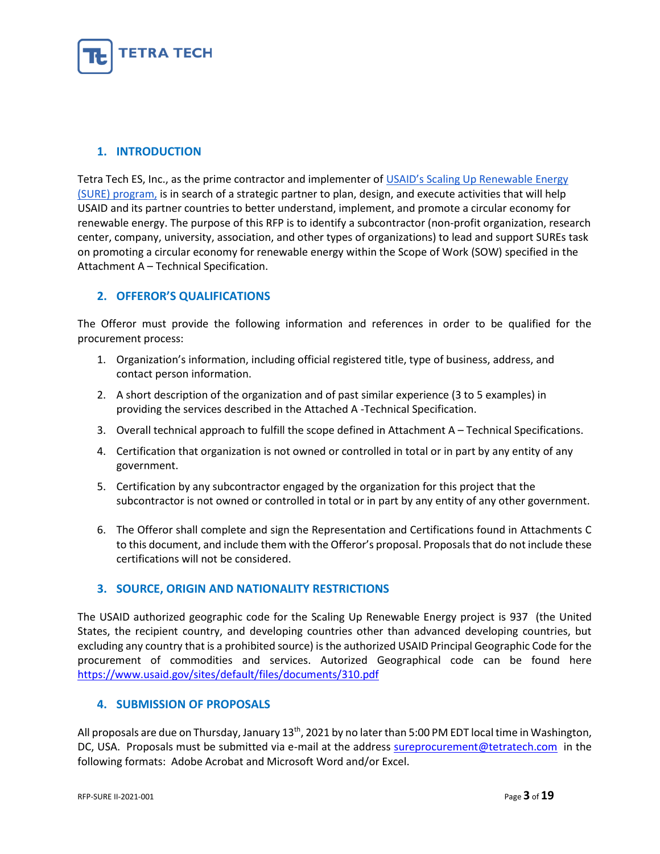

#### <span id="page-2-0"></span>**1. INTRODUCTION**

Tetra Tech ES, Inc., as the prime contractor and implementer of [USAID's Scaling Up Renewable Energy](https://www.usaid.gov/energy/sure)  [\(SURE\) program,](https://www.usaid.gov/energy/sure) is in search of a strategic partner to plan, design, and execute activities that will help USAID and its partner countries to better understand, implement, and promote a circular economy for renewable energy. The purpose of this RFP is to identify a subcontractor (non-profit organization, research center, company, university, association, and other types of organizations) to lead and support SUREs task on promoting a circular economy for renewable energy within the Scope of Work (SOW) specified in the Attachment A – Technical Specification.

#### <span id="page-2-1"></span>**2. OFFEROR'S QUALIFICATIONS**

The Offeror must provide the following information and references in order to be qualified for the procurement process:

- 1. Organization's information, including official registered title, type of business, address, and contact person information.
- 2. A short description of the organization and of past similar experience (3 to 5 examples) in providing the services described in the Attached A -Technical Specification.
- 3. Overall technical approach to fulfill the scope defined in Attachment A Technical Specifications.
- 4. Certification that organization is not owned or controlled in total or in part by any entity of any government.
- 5. Certification by any subcontractor engaged by the organization for this project that the subcontractor is not owned or controlled in total or in part by any entity of any other government.
- 6. The Offeror shall complete and sign the Representation and Certifications found in Attachments C to this document, and include them with the Offeror's proposal. Proposals that do not include these certifications will not be considered.

#### <span id="page-2-2"></span>**3. SOURCE, ORIGIN AND NATIONALITY RESTRICTIONS**

The USAID authorized geographic code for the Scaling Up Renewable Energy project is 937 (the United States, the recipient country, and developing countries other than advanced developing countries, but excluding any country that is a prohibited source) is the authorized USAID Principal Geographic Code for the procurement of commodities and services. Autorized Geographical code can be found here <https://www.usaid.gov/sites/default/files/documents/310.pdf>

#### <span id="page-2-3"></span>**4. SUBMISSION OF PROPOSALS**

All proposals are due on Thursday, January 13<sup>th</sup>, 2021 by no later than 5:00 PM EDT local time in Washington, DC, USA. Proposals must be submitted via e-mail at the address [sureprocurement@tetratech.com](mailto:sureprocurement@tetratech.com) in the following formats: Adobe Acrobat and Microsoft Word and/or Excel.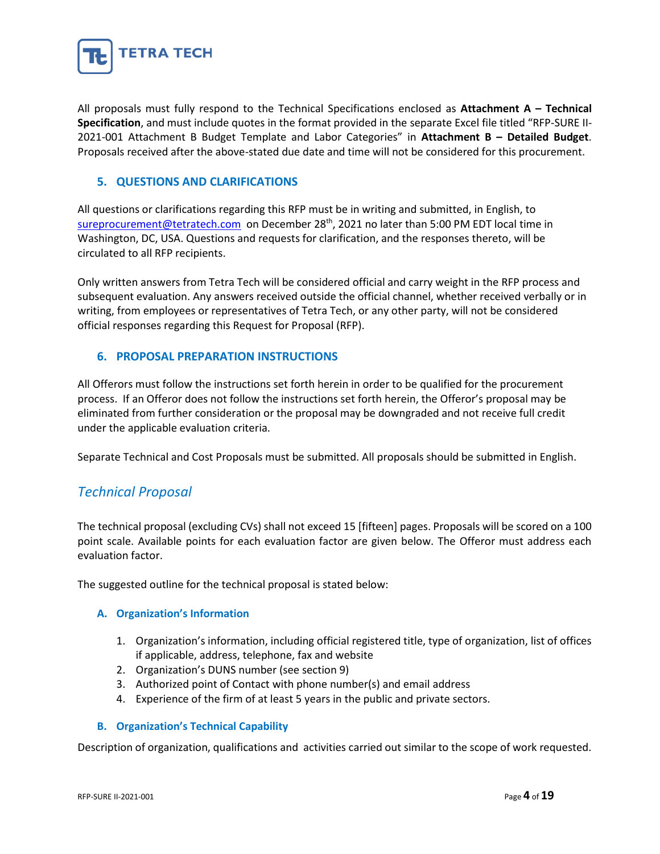

All proposals must fully respond to the Technical Specifications enclosed as **Attachment A – Technical Specification**, and must include quotes in the format provided in the separate Excel file titled "RFP-SURE II-2021-001 Attachment B Budget Template and Labor Categories" in **Attachment B – Detailed Budget**. Proposals received after the above-stated due date and time will not be considered for this procurement.

#### <span id="page-3-0"></span>**5. QUESTIONS AND CLARIFICATIONS**

All questions or clarifications regarding this RFP must be in writing and submitted, in English, to [sureprocurement@tetratech.com](mailto:sureprocurement@tetratech.com) on December 28<sup>th</sup>, 2021 no later than 5:00 PM EDT local time in Washington, DC, USA. Questions and requests for clarification, and the responses thereto, will be circulated to all RFP recipients.

Only written answers from Tetra Tech will be considered official and carry weight in the RFP process and subsequent evaluation. Any answers received outside the official channel, whether received verbally or in writing, from employees or representatives of Tetra Tech, or any other party, will not be considered official responses regarding this Request for Proposal (RFP).

#### <span id="page-3-1"></span>**6. PROPOSAL PREPARATION INSTRUCTIONS**

All Offerors must follow the instructions set forth herein in order to be qualified for the procurement process. If an Offeror does not follow the instructions set forth herein, the Offeror's proposal may be eliminated from further consideration or the proposal may be downgraded and not receive full credit under the applicable evaluation criteria.

Separate Technical and Cost Proposals must be submitted. All proposals should be submitted in English.

#### *Technical Proposal*

The technical proposal (excluding CVs) shall not exceed 15 [fifteen] pages. Proposals will be scored on a 100 point scale. Available points for each evaluation factor are given below. The Offeror must address each evaluation factor.

The suggested outline for the technical proposal is stated below:

#### **A. Organization's Information**

- 1. Organization's information, including official registered title, type of organization, list of offices if applicable, address, telephone, fax and website
- 2. Organization's DUNS number (see section 9)
- 3. Authorized point of Contact with phone number(s) and email address
- 4. Experience of the firm of at least 5 years in the public and private sectors.

#### **B. Organization's Technical Capability**

Description of organization, qualifications and activities carried out similar to the scope of work requested.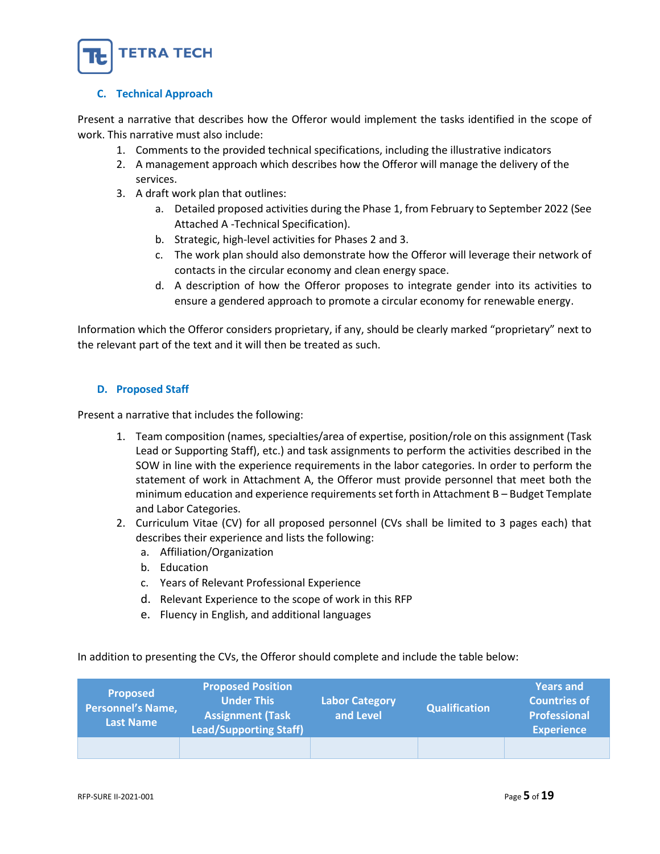

#### **C. Technical Approach**

Present a narrative that describes how the Offeror would implement the tasks identified in the scope of work. This narrative must also include:

- 1. Comments to the provided technical specifications, including the illustrative indicators
- 2. A management approach which describes how the Offeror will manage the delivery of the services.
- 3. A draft work plan that outlines:
	- a. Detailed proposed activities during the Phase 1, from February to September 2022 (See Attached A -Technical Specification).
	- b. Strategic, high-level activities for Phases 2 and 3.
	- c. The work plan should also demonstrate how the Offeror will leverage their network of contacts in the circular economy and clean energy space.
	- d. A description of how the Offeror proposes to integrate gender into its activities to ensure a gendered approach to promote a circular economy for renewable energy.

Information which the Offeror considers proprietary, if any, should be clearly marked "proprietary" next to the relevant part of the text and it will then be treated as such.

#### **D. Proposed Staff**

Present a narrative that includes the following:

- 1. Team composition (names, specialties/area of expertise, position/role on this assignment (Task Lead or Supporting Staff), etc.) and task assignments to perform the activities described in the SOW in line with the experience requirements in the labor categories. In order to perform the statement of work in Attachment A, the Offeror must provide personnel that meet both the minimum education and experience requirements set forth in Attachment B – Budget Template and Labor Categories.
- 2. Curriculum Vitae (CV) for all proposed personnel (CVs shall be limited to 3 pages each) that describes their experience and lists the following:
	- a. Affiliation/Organization
	- b. Education
	- c. Years of Relevant Professional Experience
	- d. Relevant Experience to the scope of work in this RFP
	- e. Fluency in English, and additional languages

In addition to presenting the CVs, the Offeror should complete and include the table below:

| <b>Proposed</b><br><b>Personnel's Name,</b><br><b>Last Name</b> | <b>Proposed Position</b><br><b>Under This</b><br><b>Assignment (Task</b><br><b>Lead/Supporting Staff)</b> | <b>Labor Category</b><br>and Level | <b>Qualification</b> | <b>Years and</b><br><b>Countries of</b><br><b>Professional</b><br><b>Experience</b> |
|-----------------------------------------------------------------|-----------------------------------------------------------------------------------------------------------|------------------------------------|----------------------|-------------------------------------------------------------------------------------|
|                                                                 |                                                                                                           |                                    |                      |                                                                                     |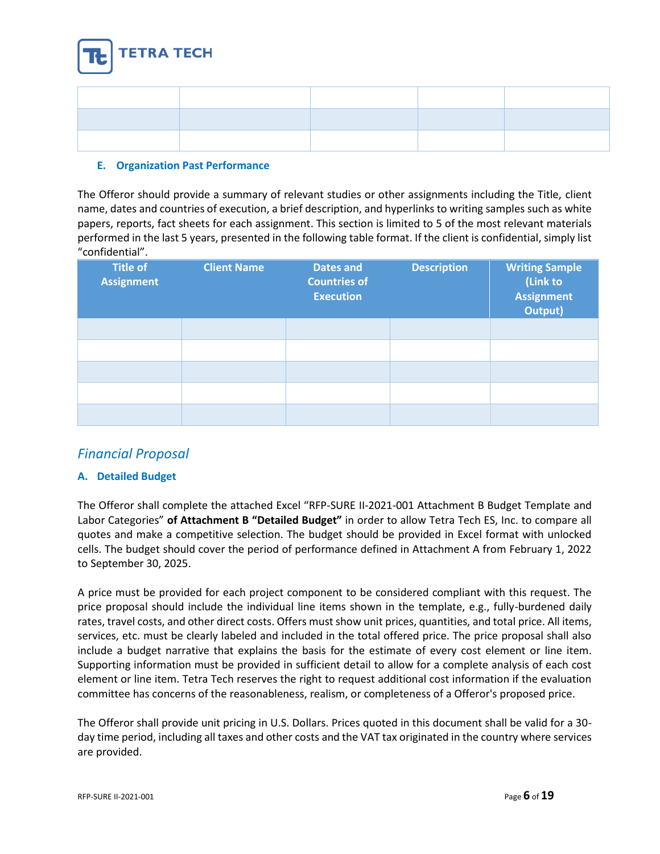

#### **E. Organization Past Performance**

The Offeror should provide a summary of relevant studies or other assignments including the Title, client name, dates and countries of execution, a brief description, and hyperlinks to writing samples such as white papers, reports, fact sheets for each assignment. This section is limited to 5 of the most relevant materials performed in the last 5 years, presented in the following table format. If the client is confidential, simply list "confidential".

| <b>Title of</b><br><b>Assignment</b> | <b>Client Name</b> | <b>Dates and</b><br><b>Countries of</b><br><b>Execution</b> | <b>Description</b> | <b>Writing Sample</b><br>(Link to<br><b>Assignment</b><br>Output) |
|--------------------------------------|--------------------|-------------------------------------------------------------|--------------------|-------------------------------------------------------------------|
|                                      |                    |                                                             |                    |                                                                   |
|                                      |                    |                                                             |                    |                                                                   |
|                                      |                    |                                                             |                    |                                                                   |
|                                      |                    |                                                             |                    |                                                                   |
|                                      |                    |                                                             |                    |                                                                   |

### *Financial Proposal*

#### **A. Detailed Budget**

The Offeror shall complete the attached Excel "RFP-SURE II-2021-001 Attachment B Budget Template and Labor Categories" **of Attachment B "Detailed Budget"** in order to allow Tetra Tech ES, Inc. to compare all quotes and make a competitive selection. The budget should be provided in Excel format with unlocked cells. The budget should cover the period of performance defined in Attachment A from February 1, 2022 to September 30, 2025.

A price must be provided for each project component to be considered compliant with this request. The price proposal should include the individual line items shown in the template, e.g., fully-burdened daily rates, travel costs, and other direct costs. Offers must show unit prices, quantities, and total price. All items, services, etc. must be clearly labeled and included in the total offered price. The price proposal shall also include a budget narrative that explains the basis for the estimate of every cost element or line item. Supporting information must be provided in sufficient detail to allow for a complete analysis of each cost element or line item. Tetra Tech reserves the right to request additional cost information if the evaluation committee has concerns of the reasonableness, realism, or completeness of a Offeror's proposed price.

The Offeror shall provide unit pricing in U.S. Dollars. Prices quoted in this document shall be valid for a 30 day time period, including all taxes and other costs and the VAT tax originated in the country where services are provided.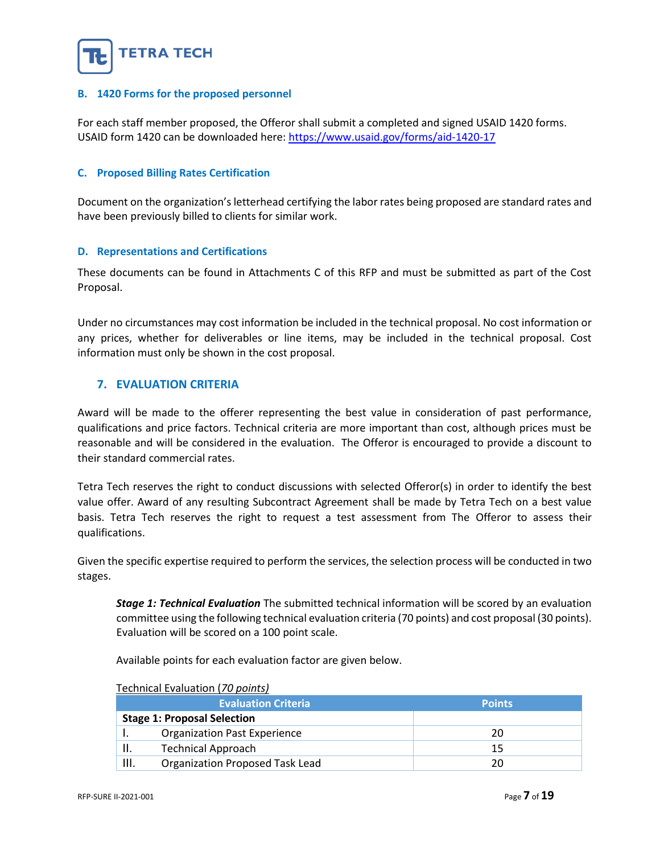

#### **B. 1420 Forms for the proposed personnel**

For each staff member proposed, the Offeror shall submit a completed and signed USAID 1420 forms. USAID form 1420 can be downloaded here:<https://www.usaid.gov/forms/aid-1420-17>

#### **C. Proposed Billing Rates Certification**

Document on the organization's letterhead certifying the labor rates being proposed are standard rates and have been previously billed to clients for similar work.

#### **D. Representations and Certifications**

These documents can be found in Attachments C of this RFP and must be submitted as part of the Cost Proposal.

Under no circumstances may cost information be included in the technical proposal. No cost information or any prices, whether for deliverables or line items, may be included in the technical proposal. Cost information must only be shown in the cost proposal.

#### <span id="page-6-0"></span>**7. EVALUATION CRITERIA**

Award will be made to the offerer representing the best value in consideration of past performance, qualifications and price factors. Technical criteria are more important than cost, although prices must be reasonable and will be considered in the evaluation. The Offeror is encouraged to provide a discount to their standard commercial rates.

Tetra Tech reserves the right to conduct discussions with selected Offeror(s) in order to identify the best value offer. Award of any resulting Subcontract Agreement shall be made by Tetra Tech on a best value basis. Tetra Tech reserves the right to request a test assessment from The Offeror to assess their qualifications.

Given the specific expertise required to perform the services, the selection process will be conducted in two stages.

*Stage 1: Technical Evaluation* The submitted technical information will be scored by an evaluation committee using the following technical evaluation criteria (70 points) and cost proposal (30 points). Evaluation will be scored on a 100 point scale.

Available points for each evaluation factor are given below.

|      | <b>Evaluation Criteria</b>          | <b>Points</b> |
|------|-------------------------------------|---------------|
|      | <b>Stage 1: Proposal Selection</b>  |               |
|      | <b>Organization Past Experience</b> | 20            |
|      | <b>Technical Approach</b>           | 15            |
| III. | Organization Proposed Task Lead     | 20            |

#### Technical Evaluation (*70 points)*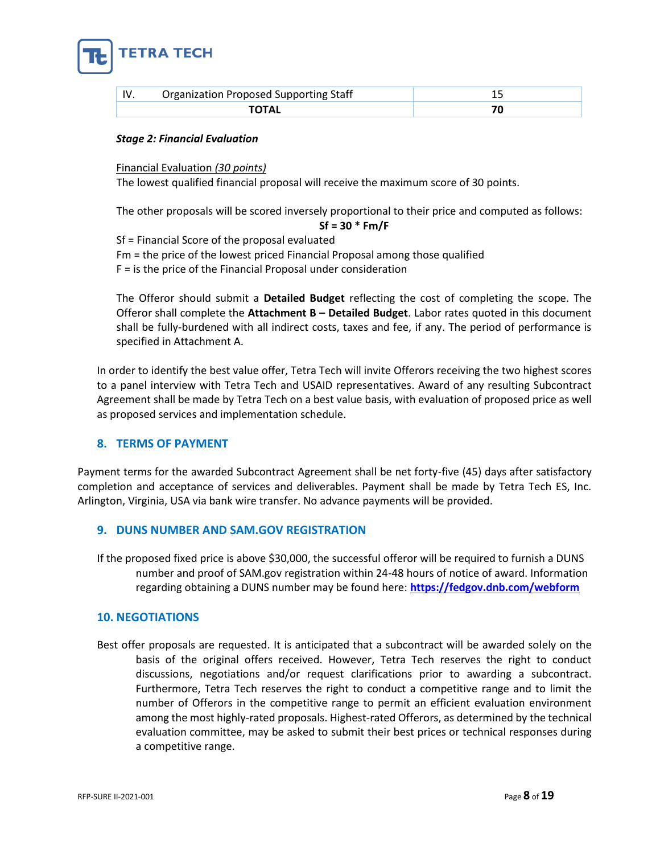

| IV. | <b>Organization Proposed Supporting Staff</b> |  |
|-----|-----------------------------------------------|--|
|     |                                               |  |

#### *Stage 2: Financial Evaluation*

Financial Evaluation *(30 points)*

The lowest qualified financial proposal will receive the maximum score of 30 points.

The other proposals will be scored inversely proportional to their price and computed as follows:

**Sf = 30 \* Fm/F** Sf = Financial Score of the proposal evaluated

Fm = the price of the lowest priced Financial Proposal among those qualified

F = is the price of the Financial Proposal under consideration

The Offeror should submit a **Detailed Budget** reflecting the cost of completing the scope. The Offeror shall complete the **Attachment B – Detailed Budget**. Labor rates quoted in this document shall be fully-burdened with all indirect costs, taxes and fee, if any. The period of performance is specified in Attachment A.

In order to identify the best value offer, Tetra Tech will invite Offerors receiving the two highest scores to a panel interview with Tetra Tech and USAID representatives. Award of any resulting Subcontract Agreement shall be made by Tetra Tech on a best value basis, with evaluation of proposed price as well as proposed services and implementation schedule.

#### <span id="page-7-0"></span>**8. TERMS OF PAYMENT**

Payment terms for the awarded Subcontract Agreement shall be net forty-five (45) days after satisfactory completion and acceptance of services and deliverables. Payment shall be made by Tetra Tech ES, Inc. Arlington, Virginia, USA via bank wire transfer. No advance payments will be provided.

#### <span id="page-7-1"></span>**9. DUNS NUMBER AND SAM.GOV REGISTRATION**

If the proposed fixed price is above \$30,000, the successful offeror will be required to furnish a DUNS number and proof of SAM.gov registration within 24-48 hours of notice of award. Information regarding obtaining a DUNS number may be found here: **<https://fedgov.dnb.com/webform>**

#### <span id="page-7-2"></span>**10. NEGOTIATIONS**

Best offer proposals are requested. It is anticipated that a subcontract will be awarded solely on the basis of the original offers received. However, Tetra Tech reserves the right to conduct discussions, negotiations and/or request clarifications prior to awarding a subcontract. Furthermore, Tetra Tech reserves the right to conduct a competitive range and to limit the number of Offerors in the competitive range to permit an efficient evaluation environment among the most highly-rated proposals. Highest-rated Offerors, as determined by the technical evaluation committee, may be asked to submit their best prices or technical responses during a competitive range.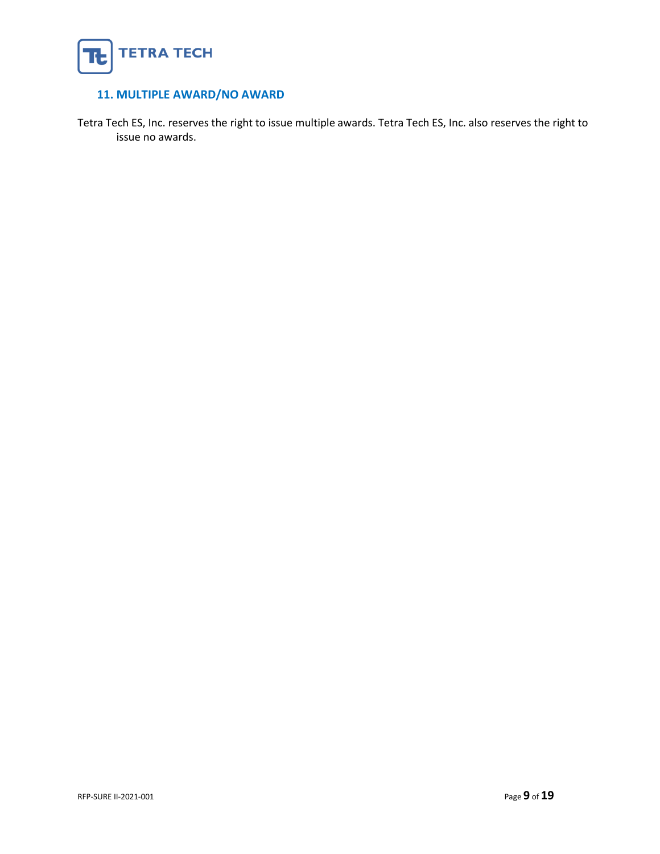

#### <span id="page-8-0"></span>**11. MULTIPLE AWARD/NO AWARD**

Tetra Tech ES, Inc. reserves the right to issue multiple awards. Tetra Tech ES, Inc. also reserves the right to issue no awards.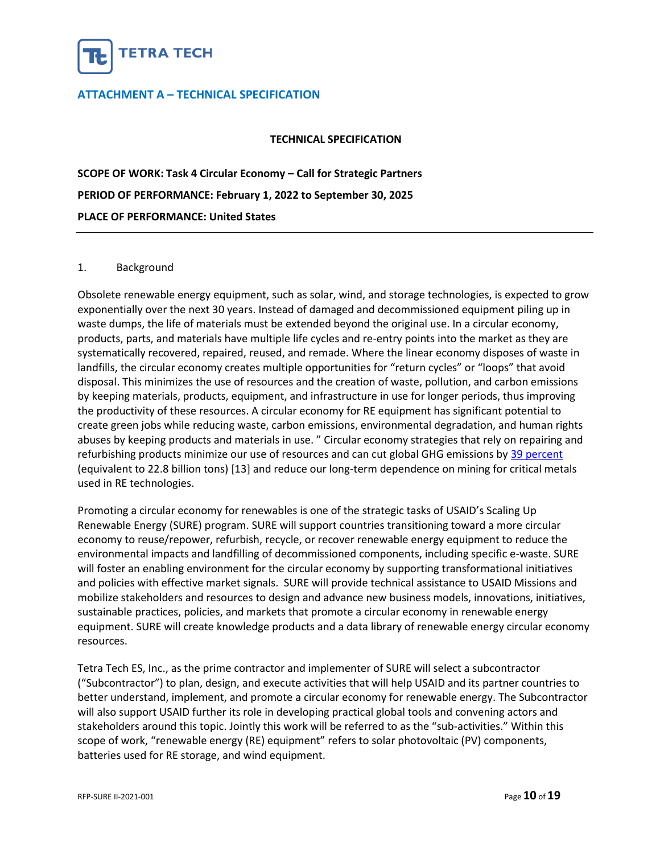

#### <span id="page-9-0"></span>**ATTACHMENT A – TECHNICAL SPECIFICATION**

#### **TECHNICAL SPECIFICATION**

**SCOPE OF WORK: Task 4 Circular Economy – Call for Strategic Partners PERIOD OF PERFORMANCE: February 1, 2022 to September 30, 2025 PLACE OF PERFORMANCE: United States**

#### 1. Background

Obsolete renewable energy equipment, such as solar, wind, and storage technologies, is expected to grow exponentially over the next 30 years. Instead of damaged and decommissioned equipment piling up in waste dumps, the life of materials must be extended beyond the original use. In a circular economy, products, parts, and materials have multiple life cycles and re-entry points into the market as they are systematically recovered, repaired, reused, and remade. Where the linear economy disposes of waste in landfills, the circular economy creates multiple opportunities for "return cycles" or "loops" that avoid disposal. This minimizes the use of resources and the creation of waste, pollution, and carbon emissions by keeping materials, products, equipment, and infrastructure in use for longer periods, thus improving the productivity of these resources. A circular economy for RE equipment has significant potential to create green jobs while reducing waste, carbon emissions, environmental degradation, and human rights abuses by keeping products and materials in use. " Circular economy strategies that rely on repairing and refurbishing products minimize our use of resources and can cut global GHG emissions by [39 percent](https://www.wri.org/insights/5-opportunities-circular-economy)  (equivalent to 22.8 billion tons) [13] and reduce our long-term dependence on mining for critical metals used in RE technologies.

Promoting a circular economy for renewables is one of the strategic tasks of USAID's Scaling Up Renewable Energy (SURE) program. SURE will support countries transitioning toward a more circular economy to reuse/repower, refurbish, recycle, or recover renewable energy equipment to reduce the environmental impacts and landfilling of decommissioned components, including specific e-waste. SURE will foster an enabling environment for the circular economy by supporting transformational initiatives and policies with effective market signals. SURE will provide technical assistance to USAID Missions and mobilize stakeholders and resources to design and advance new business models, innovations, initiatives, sustainable practices, policies, and markets that promote a circular economy in renewable energy equipment. SURE will create knowledge products and a data library of renewable energy circular economy resources.

Tetra Tech ES, Inc., as the prime contractor and implementer of SURE will select a subcontractor ("Subcontractor") to plan, design, and execute activities that will help USAID and its partner countries to better understand, implement, and promote a circular economy for renewable energy. The Subcontractor will also support USAID further its role in developing practical global tools and convening actors and stakeholders around this topic. Jointly this work will be referred to as the "sub-activities." Within this scope of work, "renewable energy (RE) equipment" refers to solar photovoltaic (PV) components, batteries used for RE storage, and wind equipment.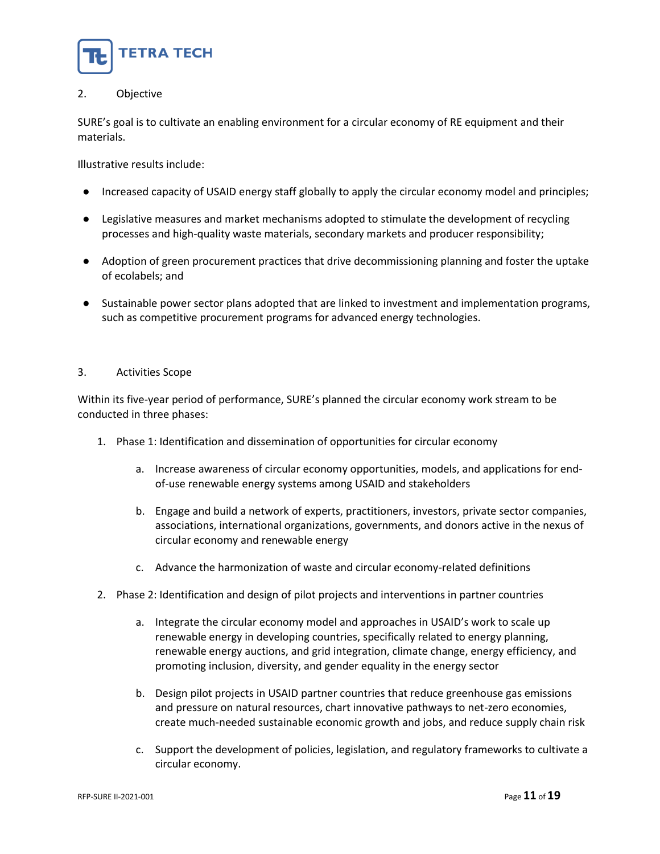

#### 2. Objective

SURE's goal is to cultivate an enabling environment for a circular economy of RE equipment and their materials.

Illustrative results include:

- Increased capacity of USAID energy staff globally to apply the circular economy model and principles;
- Legislative measures and market mechanisms adopted to stimulate the development of recycling processes and high-quality waste materials, secondary markets and producer responsibility;
- Adoption of green procurement practices that drive decommissioning planning and foster the uptake of ecolabels; and
- Sustainable power sector plans adopted that are linked to investment and implementation programs, such as competitive procurement programs for advanced energy technologies.

#### 3. Activities Scope

Within its five-year period of performance, SURE's planned the circular economy work stream to be conducted in three phases:

- 1. Phase 1: Identification and dissemination of opportunities for circular economy
	- a. Increase awareness of circular economy opportunities, models, and applications for endof-use renewable energy systems among USAID and stakeholders
	- b. Engage and build a network of experts, practitioners, investors, private sector companies, associations, international organizations, governments, and donors active in the nexus of circular economy and renewable energy
	- c. Advance the harmonization of waste and circular economy-related definitions
- 2. Phase 2: Identification and design of pilot projects and interventions in partner countries
	- a. Integrate the circular economy model and approaches in USAID's work to scale up renewable energy in developing countries, specifically related to energy planning, renewable energy auctions, and grid integration, climate change, energy efficiency, and promoting inclusion, diversity, and gender equality in the energy sector
	- b. Design pilot projects in USAID partner countries that reduce greenhouse gas emissions and pressure on natural resources, chart innovative pathways to net-zero economies, create much-needed sustainable economic growth and jobs, and reduce supply chain risk
	- c. Support the development of policies, legislation, and regulatory frameworks to cultivate a circular economy.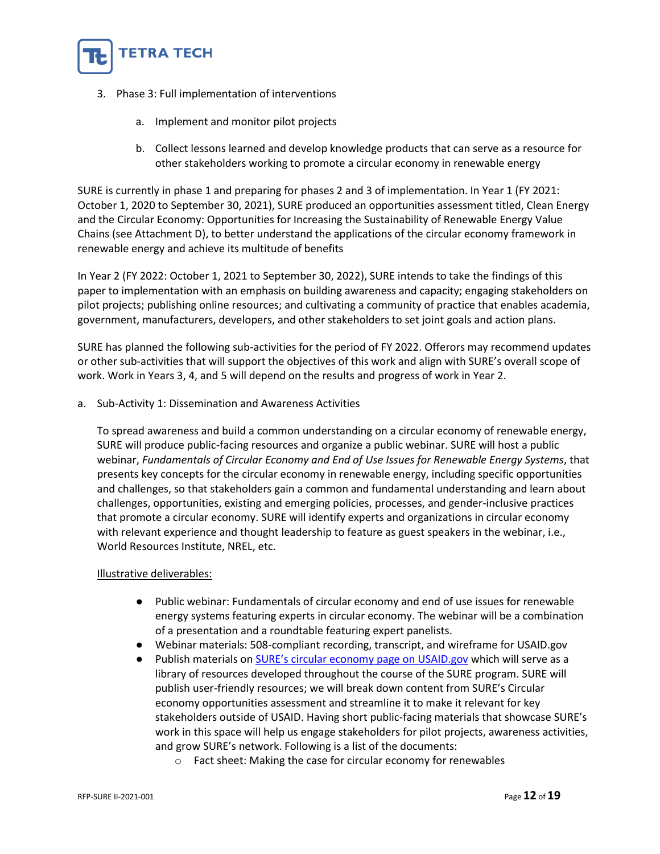

- 3. Phase 3: Full implementation of interventions
	- a. Implement and monitor pilot projects
	- b. Collect lessons learned and develop knowledge products that can serve as a resource for other stakeholders working to promote a circular economy in renewable energy

SURE is currently in phase 1 and preparing for phases 2 and 3 of implementation. In Year 1 (FY 2021: October 1, 2020 to September 30, 2021), SURE produced an opportunities assessment titled, Clean Energy and the Circular Economy: Opportunities for Increasing the Sustainability of Renewable Energy Value Chains (see Attachment D), to better understand the applications of the circular economy framework in renewable energy and achieve its multitude of benefits

In Year 2 (FY 2022: October 1, 2021 to September 30, 2022), SURE intends to take the findings of this paper to implementation with an emphasis on building awareness and capacity; engaging stakeholders on pilot projects; publishing online resources; and cultivating a community of practice that enables academia, government, manufacturers, developers, and other stakeholders to set joint goals and action plans.

SURE has planned the following sub-activities for the period of FY 2022. Offerors may recommend updates or other sub-activities that will support the objectives of this work and align with SURE's overall scope of work. Work in Years 3, 4, and 5 will depend on the results and progress of work in Year 2.

a. Sub-Activity 1: Dissemination and Awareness Activities

To spread awareness and build a common understanding on a circular economy of renewable energy, SURE will produce public-facing resources and organize a public webinar. SURE will host a public webinar, *Fundamentals of Circular Economy and End of Use Issues for Renewable Energy Systems*, that presents key concepts for the circular economy in renewable energy, including specific opportunities and challenges, so that stakeholders gain a common and fundamental understanding and learn about challenges, opportunities, existing and emerging policies, processes, and gender-inclusive practices that promote a circular economy. SURE will identify experts and organizations in circular economy with relevant experience and thought leadership to feature as guest speakers in the webinar, i.e., World Resources Institute, NREL, etc.

#### Illustrative deliverables:

- Public webinar: Fundamentals of circular economy and end of use issues for renewable energy systems featuring experts in circular economy. The webinar will be a combination of a presentation and a roundtable featuring expert panelists.
- Webinar materials: 508-compliant recording, transcript, and wireframe for USAID.gov
- Publish materials on [SURE's circular economy page on USAID.gov](https://www.usaid.gov/energy/sure/circular-economy) which will serve as a library of resources developed throughout the course of the SURE program. SURE will publish user-friendly resources; we will break down content from SURE's Circular economy opportunities assessment and streamline it to make it relevant for key stakeholders outside of USAID. Having short public-facing materials that showcase SURE's work in this space will help us engage stakeholders for pilot projects, awareness activities, and grow SURE's network. Following is a list of the documents:
	- o Fact sheet: Making the case for circular economy for renewables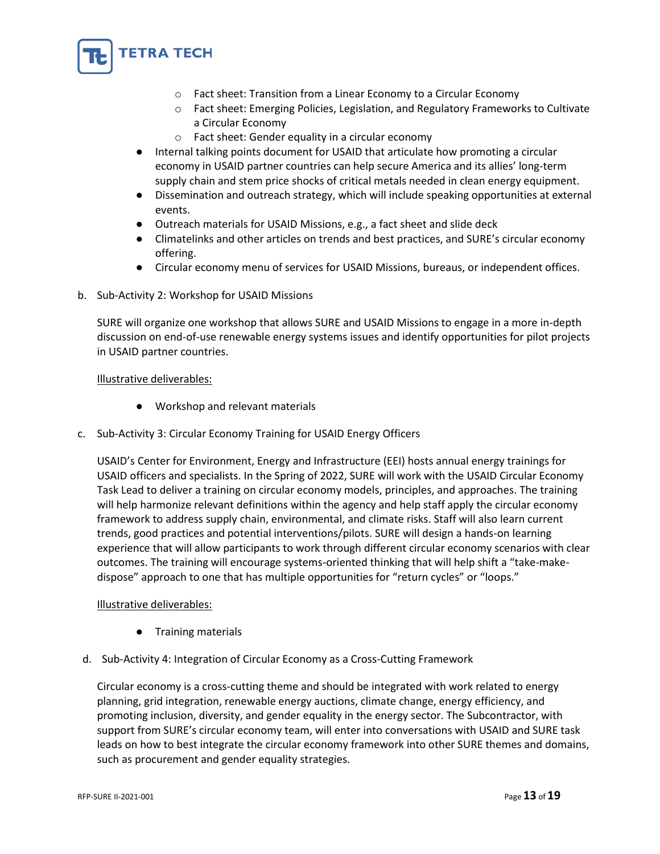

- o Fact sheet: Transition from a Linear Economy to a Circular Economy
- o Fact sheet: Emerging Policies, Legislation, and Regulatory Frameworks to Cultivate a Circular Economy
- o Fact sheet: Gender equality in a circular economy
- Internal talking points document for USAID that articulate how promoting a circular economy in USAID partner countries can help secure America and its allies' long-term supply chain and stem price shocks of critical metals needed in clean energy equipment.
- Dissemination and outreach strategy, which will include speaking opportunities at external events.
- Outreach materials for USAID Missions, e.g., a fact sheet and slide deck
- Climatelinks and other articles on trends and best practices, and SURE's circular economy offering.
- Circular economy menu of services for USAID Missions, bureaus, or independent offices.
- b. Sub-Activity 2: Workshop for USAID Missions

SURE will organize one workshop that allows SURE and USAID Missions to engage in a more in-depth discussion on end-of-use renewable energy systems issues and identify opportunities for pilot projects in USAID partner countries.

#### Illustrative deliverables:

- Workshop and relevant materials
- c. Sub-Activity 3: Circular Economy Training for USAID Energy Officers

USAID's Center for Environment, Energy and Infrastructure (EEI) hosts annual energy trainings for USAID officers and specialists. In the Spring of 2022, SURE will work with the USAID Circular Economy Task Lead to deliver a training on circular economy models, principles, and approaches. The training will help harmonize relevant definitions within the agency and help staff apply the circular economy framework to address supply chain, environmental, and climate risks. Staff will also learn current trends, good practices and potential interventions/pilots. SURE will design a hands-on learning experience that will allow participants to work through different circular economy scenarios with clear outcomes. The training will encourage systems-oriented thinking that will help shift a "take-makedispose" approach to one that has multiple opportunities for "return cycles" or "loops."

#### Illustrative deliverables:

- Training materials
- d. Sub-Activity 4: Integration of Circular Economy as a Cross-Cutting Framework

Circular economy is a cross-cutting theme and should be integrated with work related to energy planning, grid integration, renewable energy auctions, climate change, energy efficiency, and promoting inclusion, diversity, and gender equality in the energy sector. The Subcontractor, with support from SURE's circular economy team, will enter into conversations with USAID and SURE task leads on how to best integrate the circular economy framework into other SURE themes and domains, such as procurement and gender equality strategies.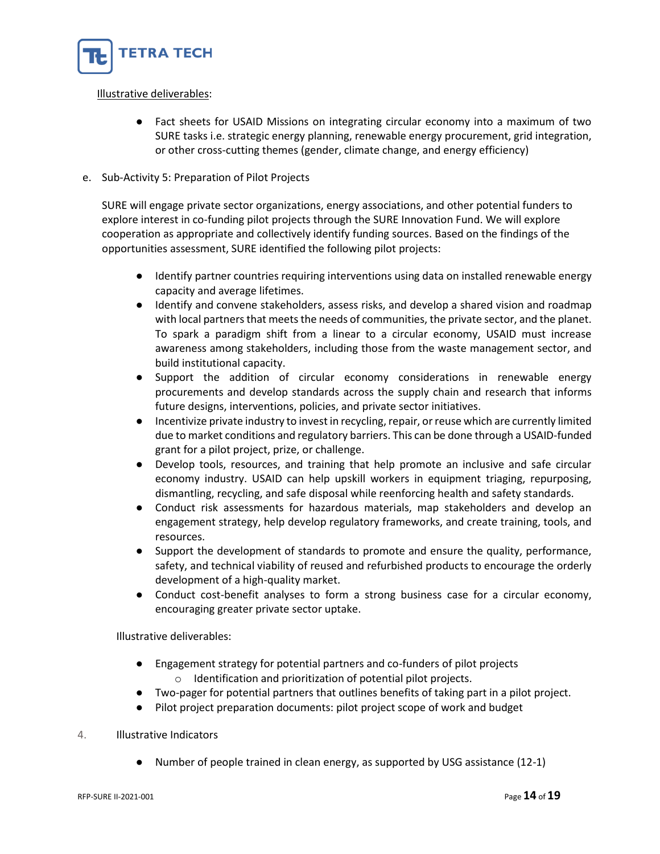

#### Illustrative deliverables:

● Fact sheets for USAID Missions on integrating circular economy into a maximum of two SURE tasks i.e. strategic energy planning, renewable energy procurement, grid integration, or other cross-cutting themes (gender, climate change, and energy efficiency)

#### e. Sub-Activity 5: Preparation of Pilot Projects

SURE will engage private sector organizations, energy associations, and other potential funders to explore interest in co-funding pilot projects through the SURE Innovation Fund. We will explore cooperation as appropriate and collectively identify funding sources. Based on the findings of the opportunities assessment, SURE identified the following pilot projects:

- Identify partner countries requiring interventions using data on installed renewable energy capacity and average lifetimes.
- Identify and convene stakeholders, assess risks, and develop a shared vision and roadmap with local partners that meets the needs of communities, the private sector, and the planet. To spark a paradigm shift from a linear to a circular economy, USAID must increase awareness among stakeholders, including those from the waste management sector, and build institutional capacity.
- Support the addition of circular economy considerations in renewable energy procurements and develop standards across the supply chain and research that informs future designs, interventions, policies, and private sector initiatives.
- Incentivize private industry to invest in recycling, repair, or reuse which are currently limited due to market conditions and regulatory barriers. This can be done through a USAID-funded grant for a pilot project, prize, or challenge.
- Develop tools, resources, and training that help promote an inclusive and safe circular economy industry. USAID can help upskill workers in equipment triaging, repurposing, dismantling, recycling, and safe disposal while reenforcing health and safety standards.
- Conduct risk assessments for hazardous materials, map stakeholders and develop an engagement strategy, help develop regulatory frameworks, and create training, tools, and resources.
- Support the development of standards to promote and ensure the quality, performance, safety, and technical viability of reused and refurbished products to encourage the orderly development of a high-quality market.
- Conduct cost-benefit analyses to form a strong business case for a circular economy, encouraging greater private sector uptake.

Illustrative deliverables:

- Engagement strategy for potential partners and co-funders of pilot projects o Identification and prioritization of potential pilot projects.
- Two-pager for potential partners that outlines benefits of taking part in a pilot project.
- Pilot project preparation documents: pilot project scope of work and budget

#### 4. Illustrative Indicators

● Number of people trained in clean energy, as supported by USG assistance (12-1)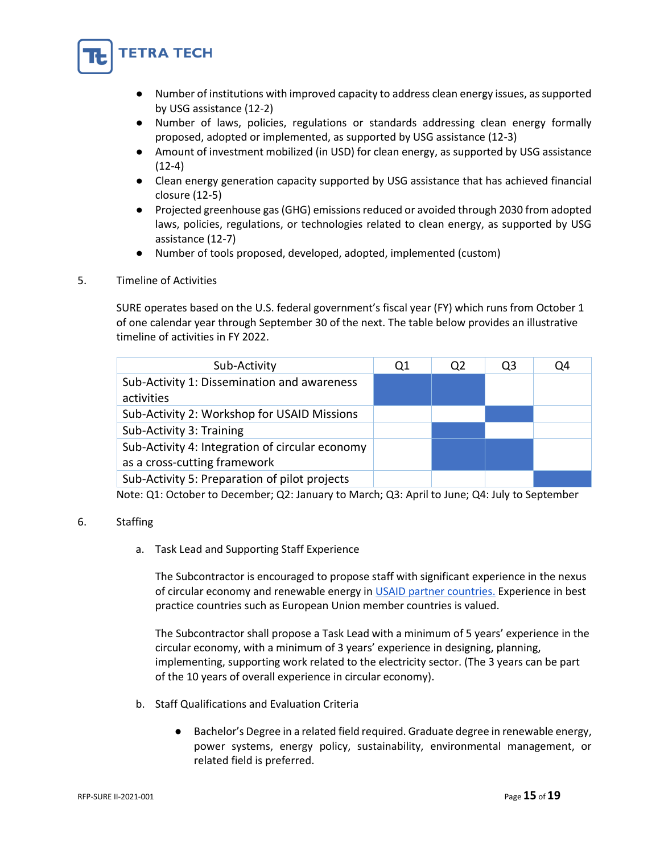

- Number of institutions with improved capacity to address clean energy issues, as supported by USG assistance (12-2)
- Number of laws, policies, regulations or standards addressing clean energy formally proposed, adopted or implemented, as supported by USG assistance (12-3)
- Amount of investment mobilized (in USD) for clean energy, as supported by USG assistance (12-4)
- Clean energy generation capacity supported by USG assistance that has achieved financial closure (12-5)
- Projected greenhouse gas (GHG) emissions reduced or avoided through 2030 from adopted laws, policies, regulations, or technologies related to clean energy, as supported by USG assistance (12-7)
- Number of tools proposed, developed, adopted, implemented (custom)
- 5. Timeline of Activities

SURE operates based on the U.S. federal government's fiscal year (FY) which runs from October 1 of one calendar year through September 30 of the next. The table below provides an illustrative timeline of activities in FY 2022.

| Sub-Activity                                                                    | Q1 | Q2 | Q3 | Q4 |
|---------------------------------------------------------------------------------|----|----|----|----|
| Sub-Activity 1: Dissemination and awareness<br>activities                       |    |    |    |    |
| Sub-Activity 2: Workshop for USAID Missions                                     |    |    |    |    |
| Sub-Activity 3: Training                                                        |    |    |    |    |
| Sub-Activity 4: Integration of circular economy<br>as a cross-cutting framework |    |    |    |    |
| Sub-Activity 5: Preparation of pilot projects                                   |    |    |    |    |

Note: Q1: October to December; Q2: January to March; Q3: April to June; Q4: July to September

#### 6. Staffing

a. Task Lead and Supporting Staff Experience

The Subcontractor is encouraged to propose staff with significant experience in the nexus of circular economy and renewable energy in [USAID partner countries.](https://www.usaid.gov/where-we-work) Experience in best practice countries such as European Union member countries is valued.

The Subcontractor shall propose a Task Lead with a minimum of 5 years' experience in the circular economy, with a minimum of 3 years' experience in designing, planning, implementing, supporting work related to the electricity sector. (The 3 years can be part of the 10 years of overall experience in circular economy).

- b. Staff Qualifications and Evaluation Criteria
	- Bachelor's Degree in a related field required. Graduate degree in renewable energy, power systems, energy policy, sustainability, environmental management, or related field is preferred.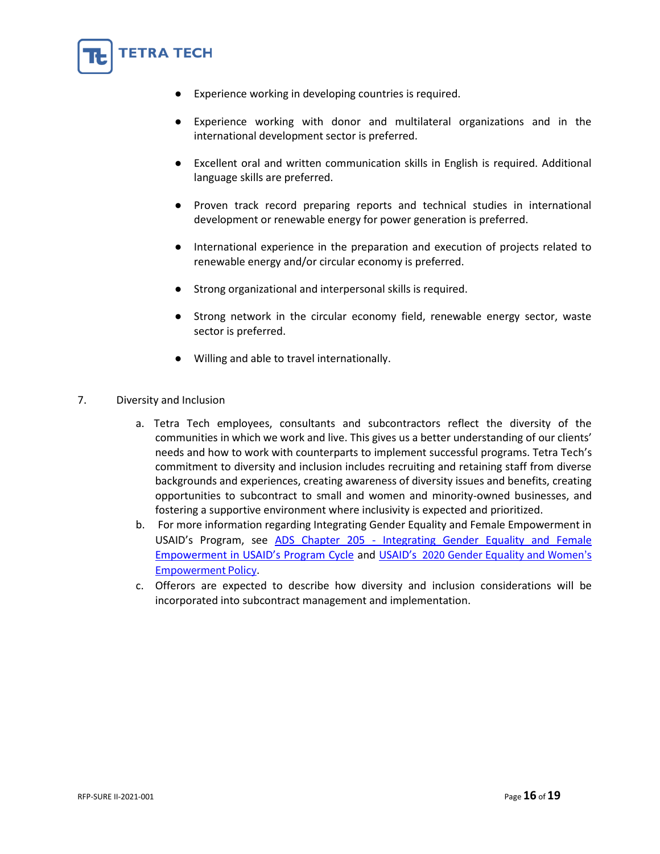

- Experience working with donor and multilateral organizations and in the international development sector is preferred.
- Excellent oral and written communication skills in English is required. Additional language skills are preferred.
- Proven track record preparing reports and technical studies in international development or renewable energy for power generation is preferred.
- International experience in the preparation and execution of projects related to renewable energy and/or circular economy is preferred.
- Strong organizational and interpersonal skills is required.
- Strong network in the circular economy field, renewable energy sector, waste sector is preferred.
- Willing and able to travel internationally.
- 7. Diversity and Inclusion

**FETRA TECH** 

- a. Tetra Tech employees, consultants and subcontractors reflect the diversity of the communities in which we work and live. This gives us a better understanding of our clients' needs and how to work with counterparts to implement successful programs. Tetra Tech's commitment to diversity and inclusion includes recruiting and retaining staff from diverse backgrounds and experiences, creating awareness of diversity issues and benefits, creating opportunities to subcontract to small and women and minority-owned businesses, and fostering a supportive environment where inclusivity is expected and prioritized.
- b. For more information regarding Integrating Gender Equality and Female Empowerment in USAID's Program, see ADS Chapter 205 - [Integrating Gender Equality and Female](https://nam10.safelinks.protection.outlook.com/?url=https%3A%2F%2Fwww.usaid.gov%2Fsites%2Fdefault%2Ffiles%2Fdocuments%2F205.pdf&data=04%7C01%7CJeannelle.Blanchard%40tetratech.com%7C9664362d4efe443c769408d9be4db62d%7Ca40fe4baabc748fe8792b43889936400%7C0%7C0%7C637750063254186426%7CUnknown%7CTWFpbGZsb3d8eyJWIjoiMC4wLjAwMDAiLCJQIjoiV2luMzIiLCJBTiI6Ik1haWwiLCJXVCI6Mn0%3D%7C3000&sdata=T2j5E1gYZrwoMpuiYfRq3mrTe%2FSJZxk6Rkj85zvPq%2BU%3D&reserved=0)  [Empowerment in USAID's Program Cycle](https://nam10.safelinks.protection.outlook.com/?url=https%3A%2F%2Fwww.usaid.gov%2Fsites%2Fdefault%2Ffiles%2Fdocuments%2F205.pdf&data=04%7C01%7CJeannelle.Blanchard%40tetratech.com%7C9664362d4efe443c769408d9be4db62d%7Ca40fe4baabc748fe8792b43889936400%7C0%7C0%7C637750063254186426%7CUnknown%7CTWFpbGZsb3d8eyJWIjoiMC4wLjAwMDAiLCJQIjoiV2luMzIiLCJBTiI6Ik1haWwiLCJXVCI6Mn0%3D%7C3000&sdata=T2j5E1gYZrwoMpuiYfRq3mrTe%2FSJZxk6Rkj85zvPq%2BU%3D&reserved=0) and USAID's [2020 Gender Equality and Women's](https://www.usaid.gov/sites/default/files/documents/USAID_GenderEquality_Policy_MT_WEB_single_508.pdf)  [Empowerment Policy](https://www.usaid.gov/sites/default/files/documents/USAID_GenderEquality_Policy_MT_WEB_single_508.pdf).
- c. Offerors are expected to describe how diversity and inclusion considerations will be incorporated into subcontract management and implementation.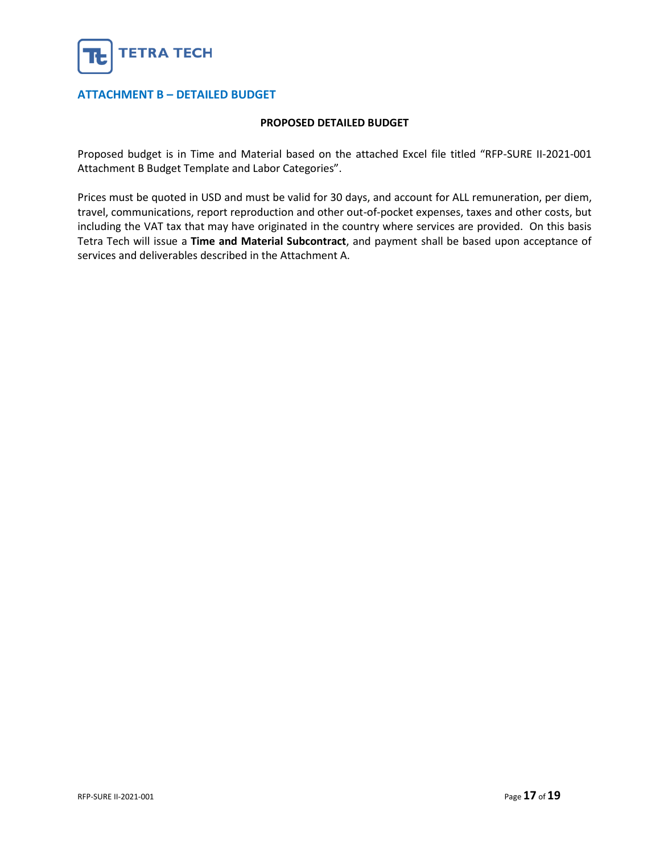

#### <span id="page-16-0"></span>**ATTACHMENT B – DETAILED BUDGET**

#### **PROPOSED DETAILED BUDGET**

Proposed budget is in Time and Material based on the attached Excel file titled "RFP-SURE II-2021-001 Attachment B Budget Template and Labor Categories".

Prices must be quoted in USD and must be valid for 30 days, and account for ALL remuneration, per diem, travel, communications, report reproduction and other out-of-pocket expenses, taxes and other costs, but including the VAT tax that may have originated in the country where services are provided. On this basis Tetra Tech will issue a **Time and Material Subcontract**, and payment shall be based upon acceptance of services and deliverables described in the Attachment A.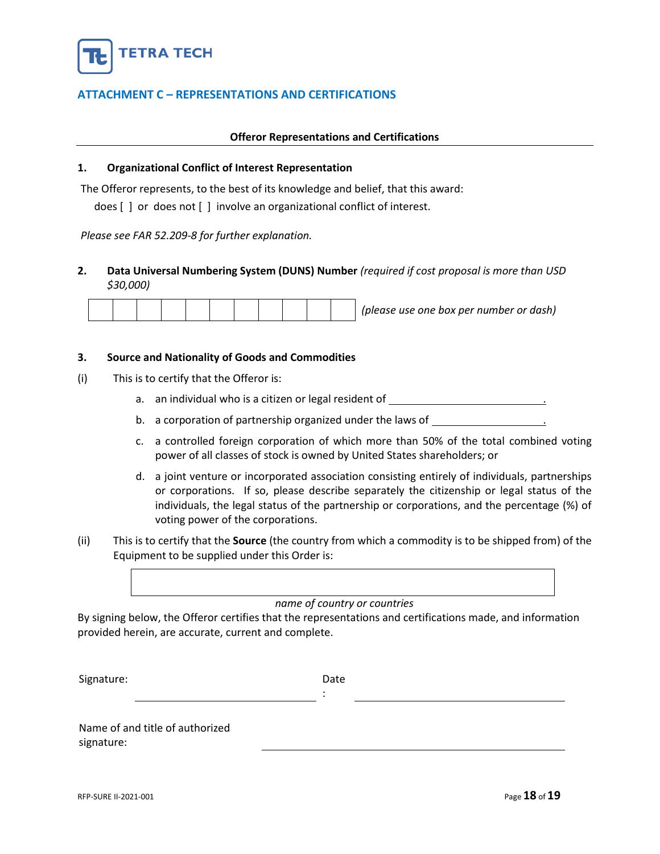

#### <span id="page-17-0"></span>**ATTACHMENT C – REPRESENTATIONS AND CERTIFICATIONS**

#### **Offeror Representations and Certifications**

#### **1. Organizational Conflict of Interest Representation**

The Offeror represents, to the best of its knowledge and belief, that this award:

does [ ] or does not [ ] involve an organizational conflict of interest.

*Please see FAR 52.209-8 for further explanation.*

#### **2. Data Universal Numbering System (DUNS) Number** *(required if cost proposal is more than USD \$30,000)*

|  |  |  |  |  |  |  |  |  |  |  | (please use one box per number or dash) |
|--|--|--|--|--|--|--|--|--|--|--|-----------------------------------------|
|--|--|--|--|--|--|--|--|--|--|--|-----------------------------------------|

#### **3. Source and Nationality of Goods and Commodities**

- (i) This is to certify that the Offeror is:
	- a. an individual who is a citizen or legal resident of  $\blacksquare$
	- b. a corporation of partnership organized under the laws of
	- c. a controlled foreign corporation of which more than 50% of the total combined voting power of all classes of stock is owned by United States shareholders; or
	- d. a joint venture or incorporated association consisting entirely of individuals, partnerships or corporations. If so, please describe separately the citizenship or legal status of the individuals, the legal status of the partnership or corporations, and the percentage (%) of voting power of the corporations.
- (ii) This is to certify that the **Source** (the country from which a commodity is to be shipped from) of the Equipment to be supplied under this Order is:

#### *name of country or countries*

By signing below, the Offeror certifies that the representations and certifications made, and information provided herein, are accurate, current and complete.

Signature: Date Date

:

Name of and title of authorized signature: